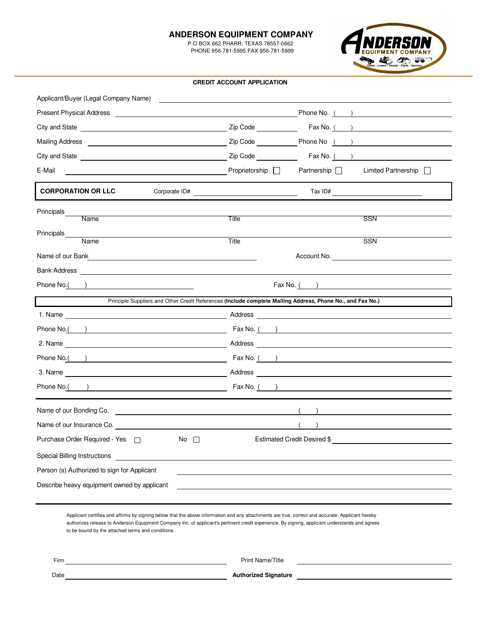#### **ANDERSON EQUIPMENT COMPANY**

 P.O BOX 662 PHARR, TEXAS 78557-0662 PHONE 956-781-5995 FAX 956-781-5999



#### **CREDIT ACCOUNT APPLICATION**

| Applicant/Buyer (Legal Company Name)                                                                                                                                                                                           |                                                                                                                                                                                                                                      |
|--------------------------------------------------------------------------------------------------------------------------------------------------------------------------------------------------------------------------------|--------------------------------------------------------------------------------------------------------------------------------------------------------------------------------------------------------------------------------------|
|                                                                                                                                                                                                                                | Present Physical Address <b>Executive Contract Contract Contract Contract Contract Contract Contract Contract Contract Contract Contract Contract Contract Contract Contract Contract Contract Contract Contract Contract Contra</b> |
|                                                                                                                                                                                                                                | Zip Code<br>Fax No. $($ $)$                                                                                                                                                                                                          |
| Mailing Address <b>Mailing</b> Address <b>Mailing</b> Address <b>Mailing</b> Address <b>Mailing</b> Address <b>Mail</b>                                                                                                        |                                                                                                                                                                                                                                      |
|                                                                                                                                                                                                                                | $\mathsf{Zip Code} \qquad \qquad \qquad \mathsf{Fax No.} \qquad \qquad \qquad \qquad \qquad \mathsf{.}$                                                                                                                              |
| E-Mail                                                                                                                                                                                                                         | Proprietorship $\Box$<br>Partnership <b>D</b><br>Limited Partnership                                                                                                                                                                 |
| <b>CORPORATION OR LLC</b><br>Corporate ID#                                                                                                                                                                                     | Tax ID#                                                                                                                                                                                                                              |
| Principals_<br><b>Name</b>                                                                                                                                                                                                     | Title<br>SSN                                                                                                                                                                                                                         |
| Principals_                                                                                                                                                                                                                    |                                                                                                                                                                                                                                      |
| Name                                                                                                                                                                                                                           | Title<br><b>SSN</b>                                                                                                                                                                                                                  |
| Name of our Bank The Communication of the Communication of the Communication of the Communication of the Communication of the Communication of the Communication of the Communication of the Communication of the Communicatio | Account No.                                                                                                                                                                                                                          |
|                                                                                                                                                                                                                                |                                                                                                                                                                                                                                      |
| Phone No.( )                                                                                                                                                                                                                   | $\text{Fax No.}$ ( )                                                                                                                                                                                                                 |
|                                                                                                                                                                                                                                | Principle Suppliers and Other Credit References (Include complete Mailing Address, Phone No., and Fax No.)                                                                                                                           |
|                                                                                                                                                                                                                                |                                                                                                                                                                                                                                      |
|                                                                                                                                                                                                                                | Phone No.( ) The No. ( ) Fax No. ( )                                                                                                                                                                                                 |
|                                                                                                                                                                                                                                |                                                                                                                                                                                                                                      |
|                                                                                                                                                                                                                                | Phone No.( ) Fax No. ( )                                                                                                                                                                                                             |
|                                                                                                                                                                                                                                |                                                                                                                                                                                                                                      |
|                                                                                                                                                                                                                                | Phone No.( ) and Service Services (Service Service Service Service Service Service Service Service Service Service Service Service Service Service Service Service Service Service Service Service Service Service Service Ser       |
|                                                                                                                                                                                                                                |                                                                                                                                                                                                                                      |
|                                                                                                                                                                                                                                |                                                                                                                                                                                                                                      |
| No $\square$                                                                                                                                                                                                                   | Estimated Credit Desired \$                                                                                                                                                                                                          |
| Special Billing Instructions                                                                                                                                                                                                   |                                                                                                                                                                                                                                      |
| Person (s) Authorized to sign for Applicant                                                                                                                                                                                    |                                                                                                                                                                                                                                      |
| Describe heavy equipment owned by applicant                                                                                                                                                                                    |                                                                                                                                                                                                                                      |
|                                                                                                                                                                                                                                |                                                                                                                                                                                                                                      |

Applicant certifies and affirms by signing below that the above information and any attachments are true, correct and accurate. Applicant hereby authorizes release to Anderson Equipment Company Inc. of applicant's pertinent credit experience. By signing, applicant understands and agrees to be bound by the attached terms and conditions.

Firm

Print Name/Title

**Authorized Signature** 

Date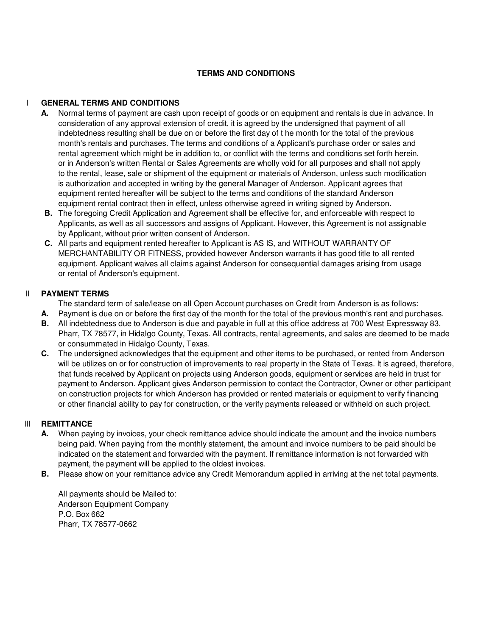## **TERMS AND CONDITIONS**

### I **GENERAL TERMS AND CONDITIONS**

- **A.** Normal terms of payment are cash upon receipt of goods or on equipment and rentals is due in advance. In consideration of any approval extension of credit, it is agreed by the undersigned that payment of all indebtedness resulting shall be due on or before the first day of t he month for the total of the previous month's rentals and purchases. The terms and conditions of a Applicant's purchase order or sales and rental agreement which might be in addition to, or conflict with the terms and conditions set forth herein, or in Anderson's written Rental or Sales Agreements are wholly void for all purposes and shall not apply to the rental, lease, sale or shipment of the equipment or materials of Anderson, unless such modification is authorization and accepted in writing by the general Manager of Anderson. Applicant agrees that equipment rented hereafter will be subject to the terms and conditions of the standard Anderson equipment rental contract then in effect, unless otherwise agreed in writing signed by Anderson.
- **B.** The foregoing Credit Application and Agreement shall be effective for, and enforceable with respect to Applicants, as well as all successors and assigns of Applicant. However, this Agreement is not assignable by Applicant, without prior written consent of Anderson.
- **C.** All parts and equipment rented hereafter to Applicant is AS IS, and WITHOUT WARRANTY OF MERCHANTABILITY OR FITNESS, provided however Anderson warrants it has good title to all rented equipment. Applicant waives all claims against Anderson for consequential damages arising from usage or rental of Anderson's equipment.

#### II **PAYMENT TERMS**

The standard term of sale/lease on all Open Account purchases on Credit from Anderson is as follows:

- **A.** Payment is due on or before the first day of the month for the total of the previous month's rent and purchases.
- **B.** All indebtedness due to Anderson is due and payable in full at this office address at 700 West Expressway 83, Pharr, TX 78577, in Hidalgo County, Texas. All contracts, rental agreements, and sales are deemed to be made or consummated in Hidalgo County, Texas.
- **C.** The undersigned acknowledges that the equipment and other items to be purchased, or rented from Anderson will be utilizes on or for construction of improvements to real property in the State of Texas. It is agreed, therefore, that funds received by Applicant on projects using Anderson goods, equipment or services are held in trust for payment to Anderson. Applicant gives Anderson permission to contact the Contractor, Owner or other participant on construction projects for which Anderson has provided or rented materials or equipment to verify financing or other financial ability to pay for construction, or the verify payments released or withheld on such project.

#### III **REMITTANCE**

- **A.** When paying by invoices, your check remittance advice should indicate the amount and the invoice numbers being paid. When paying from the monthly statement, the amount and invoice numbers to be paid should be indicated on the statement and forwarded with the payment. If remittance information is not forwarded with payment, the payment will be applied to the oldest invoices.
- **B.** Please show on your remittance advice any Credit Memorandum applied in arriving at the net total payments.

All payments should be Mailed to: Anderson Equipment Company P.O. Box 662 Pharr, TX 78577-0662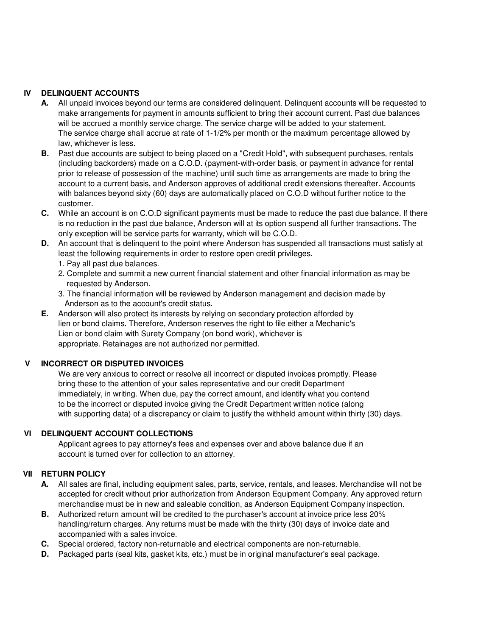# **IV DELINQUENT ACCOUNTS**

- **A.** All unpaid invoices beyond our terms are considered delinquent. Delinquent accounts will be requested to make arrangements for payment in amounts sufficient to bring their account current. Past due balances will be accrued a monthly service charge. The service charge will be added to your statement. The service charge shall accrue at rate of 1-1/2% per month or the maximum percentage allowed by law, whichever is less.
- **B.** Past due accounts are subject to being placed on a "Credit Hold", with subsequent purchases, rentals (including backorders) made on a C.O.D. (payment-with-order basis, or payment in advance for rental prior to release of possession of the machine) until such time as arrangements are made to bring the account to a current basis, and Anderson approves of additional credit extensions thereafter. Accounts with balances beyond sixty (60) days are automatically placed on C.O.D without further notice to the customer.
- **C.** While an account is on C.O.D significant payments must be made to reduce the past due balance. If there is no reduction in the past due balance, Anderson will at its option suspend all further transactions. The only exception will be service parts for warranty, which will be C.O.D.
- **D.** An account that is delinquent to the point where Anderson has suspended all transactions must satisfy at least the following requirements in order to restore open credit privileges.
	- 1. Pay all past due balances.
	- 2. Complete and summit a new current financial statement and other financial information as may be requested by Anderson.
	- 3. The financial information will be reviewed by Anderson management and decision made by Anderson as to the account's credit status.
- **E.** Anderson will also protect its interests by relying on secondary protection afforded by lien or bond claims. Therefore, Anderson reserves the right to file either a Mechanic's Lien or bond claim with Surety Company (on bond work), whichever is appropriate. Retainages are not authorized nor permitted.

#### **V INCORRECT OR DISPUTED INVOICES**

We are very anxious to correct or resolve all incorrect or disputed invoices promptly. Please bring these to the attention of your sales representative and our credit Department immediately, in writing. When due, pay the correct amount, and identify what you contend to be the incorrect or disputed invoice giving the Credit Department written notice (along with supporting data) of a discrepancy or claim to justify the withheld amount within thirty (30) days.

#### **VI DELINQUENT ACCOUNT COLLECTIONS**

Applicant agrees to pay attorney's fees and expenses over and above balance due if an account is turned over for collection to an attorney.

# **VII RETURN POLICY**

- **A.** All sales are final, including equipment sales, parts, service, rentals, and leases. Merchandise will not be accepted for credit without prior authorization from Anderson Equipment Company. Any approved return merchandise must be in new and saleable condition, as Anderson Equipment Company inspection.
- **B.** Authorized return amount will be credited to the purchaser's account at invoice price less 20% handling/return charges. Any returns must be made with the thirty (30) days of invoice date and accompanied with a sales invoice.
- **C.** Special ordered, factory non-returnable and electrical components are non-returnable.
- **D.** Packaged parts (seal kits, gasket kits, etc.) must be in original manufacturer's seal package.